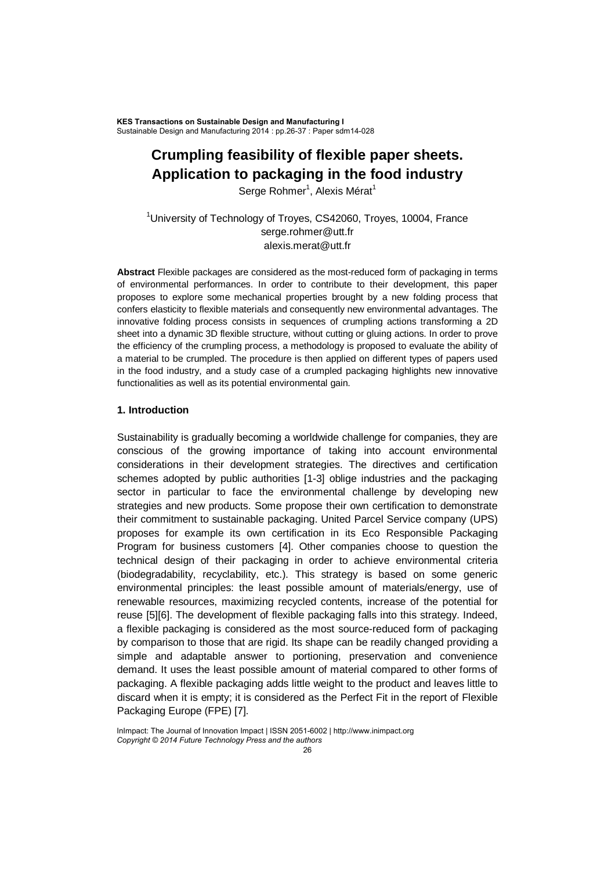**KES Transactions on Sustainable Design and Manufacturing I Sustainable Design and Manufacturing 2014 : pp.26-37 : Paper sdm14-028**

# **Crumpling feasibility of flexible paper sheets. Application to packaging in the food industry**

Serge Rohmer<sup>1</sup>, Alexis Mérat<sup>1</sup>

<sup>1</sup>University of Technology of Troyes, CS42060, Troyes, 10004, France serge.rohmer@utt.fr alexis.merat@utt.fr

**Abstract** Flexible packages are considered as the most-reduced form of packaging in terms of environmental performances. In order to contribute to their development, this paper proposes to explore some mechanical properties brought by a new folding process that confers elasticity to flexible materials and consequently new environmental advantages. The innovative folding process consists in sequences of crumpling actions transforming a 2D sheet into a dynamic 3D flexible structure, without cutting or gluing actions. In order to prove the efficiency of the crumpling process, a methodology is proposed to evaluate the ability of a material to be crumpled. The procedure is then applied on different types of papers used in the food industry, and a study case of a crumpled packaging highlights new innovative functionalities as well as its potential environmental gain.

#### **1. Introduction**

Sustainability is gradually becoming a worldwide challenge for companies, they are conscious of the growing importance of taking into account environmental considerations in their development strategies. The directives and certification schemes adopted by public authorities [1-3] oblige industries and the packaging sector in particular to face the environmental challenge by developing new strategies and new products. Some propose their own certification to demonstrate their commitment to sustainable packaging. United Parcel Service company (UPS) proposes for example its own certification in its Eco Responsible Packaging Program for business customers [4]. Other companies choose to question the technical design of their packaging in order to achieve environmental criteria (biodegradability, recyclability, etc.). This strategy is based on some generic environmental principles: the least possible amount of materials/energy, use of renewable resources, maximizing recycled contents, increase of the potential for reuse [5][6]. The development of flexible packaging falls into this strategy. Indeed, a flexible packaging is considered as the most source-reduced form of packaging by comparison to those that are rigid. Its shape can be readily changed providing a simple and adaptable answer to portioning, preservation and convenience demand. It uses the least possible amount of material compared to other forms of packaging. A flexible packaging adds little weight to the product and leaves little to discard when it is empty; it is considered as the Perfect Fit in the report of Flexible Packaging Europe (FPE) [7].

**InImpact: The Journal of Innovation Impact | ISSN 2051-6002 | http://www.inimpact.org** *Copyright © 2014 Future Technology Press and the authors*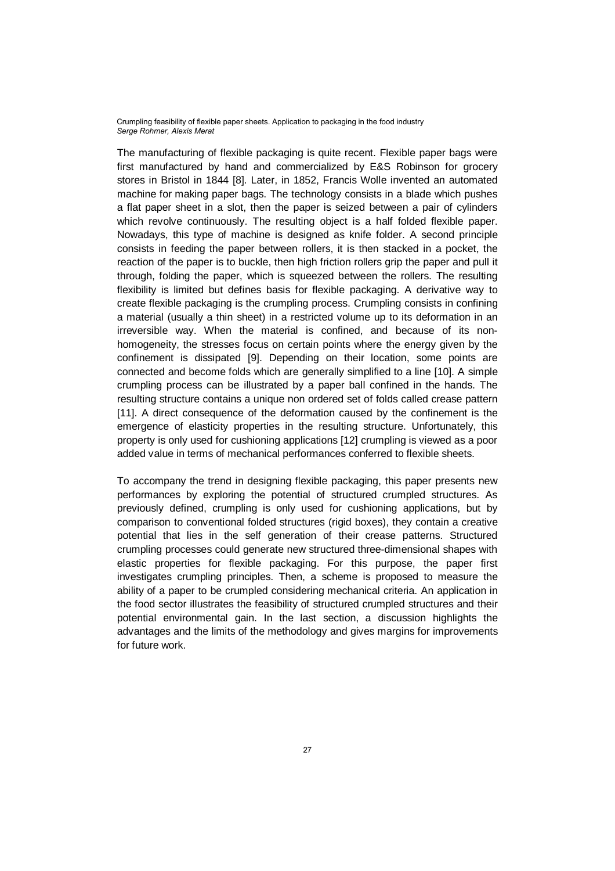The manufacturing of flexible packaging is quite recent. Flexible paper bags were first manufactured by hand and commercialized by E&S Robinson for grocery stores in Bristol in 1844 [8]. Later, in 1852, Francis Wolle invented an automated machine for making paper bags. The technology consists in a blade which pushes a flat paper sheet in a slot, then the paper is seized between a pair of cylinders which revolve continuously. The resulting object is a half folded flexible paper. Nowadays, this type of machine is designed as knife folder. A second principle consists in feeding the paper between rollers, it is then stacked in a pocket, the reaction of the paper is to buckle, then high friction rollers grip the paper and pull it through, folding the paper, which is squeezed between the rollers. The resulting flexibility is limited but defines basis for flexible packaging. A derivative way to create flexible packaging is the crumpling process. Crumpling consists in confining a material (usually a thin sheet) in a restricted volume up to its deformation in an irreversible way. When the material is confined, and because of its nonhomogeneity, the stresses focus on certain points where the energy given by the confinement is dissipated [9]. Depending on their location, some points are connected and become folds which are generally simplified to a line [10]. A simple crumpling process can be illustrated by a paper ball confined in the hands. The resulting structure contains a unique non ordered set of folds called crease pattern [11]. A direct consequence of the deformation caused by the confinement is the emergence of elasticity properties in the resulting structure. Unfortunately, this property is only used for cushioning applications [12] crumpling is viewed as a poor added value in terms of mechanical performances conferred to flexible sheets.

To accompany the trend in designing flexible packaging, this paper presents new performances by exploring the potential of structured crumpled structures. As previously defined, crumpling is only used for cushioning applications, but by comparison to conventional folded structures (rigid boxes), they contain a creative potential that lies in the self generation of their crease patterns. Structured crumpling processes could generate new structured three-dimensional shapes with elastic properties for flexible packaging. For this purpose, the paper first investigates crumpling principles. Then, a scheme is proposed to measure the ability of a paper to be crumpled considering mechanical criteria. An application in the food sector illustrates the feasibility of structured crumpled structures and their potential environmental gain. In the last section, a discussion highlights the advantages and the limits of the methodology and gives margins for improvements for future work.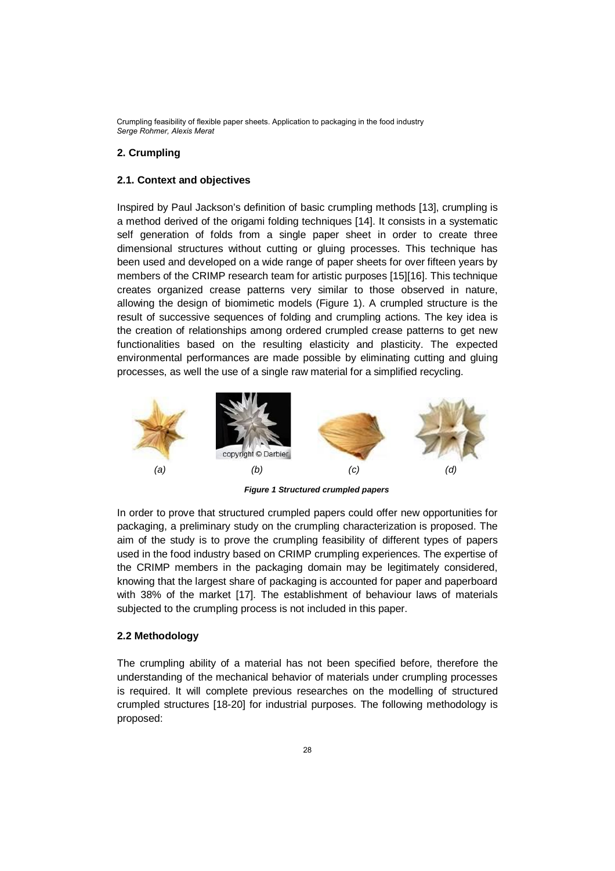# **2. Crumpling**

#### **2.1. Context and objectives**

Inspired by Paul Jackson's definition of basic crumpling methods [13], crumpling is a method derived of the origami folding techniques [14]. It consists in a systematic self generation of folds from a single paper sheet in order to create three dimensional structures without cutting or gluing processes. This technique has been used and developed on a wide range of paper sheets for over fifteen years by members of the CRIMP research team for artistic purposes [15][16]. This technique creates organized crease patterns very similar to those observed in nature, allowing the design of biomimetic models (Figure 1). A crumpled structure is the result of successive sequences of folding and crumpling actions. The key idea is the creation of relationships among ordered crumpled crease patterns to get new functionalities based on the resulting elasticity and plasticity. The expected environmental performances are made possible by eliminating cutting and gluing processes, as well the use of a single raw material for a simplified recycling.



 *Figure 1 Structured crumpled papers*

In order to prove that structured crumpled papers could offer new opportunities for packaging, a preliminary study on the crumpling characterization is proposed. The aim of the study is to prove the crumpling feasibility of different types of papers used in the food industry based on CRIMP crumpling experiences. The expertise of the CRIMP members in the packaging domain may be legitimately considered, knowing that the largest share of packaging is accounted for paper and paperboard with 38% of the market [17]. The establishment of behaviour laws of materials subjected to the crumpling process is not included in this paper.

### **2.2 Methodology**

The crumpling ability of a material has not been specified before, therefore the understanding of the mechanical behavior of materials under crumpling processes is required. It will complete previous researches on the modelling of structured crumpled structures [18-20] for industrial purposes. The following methodology is proposed: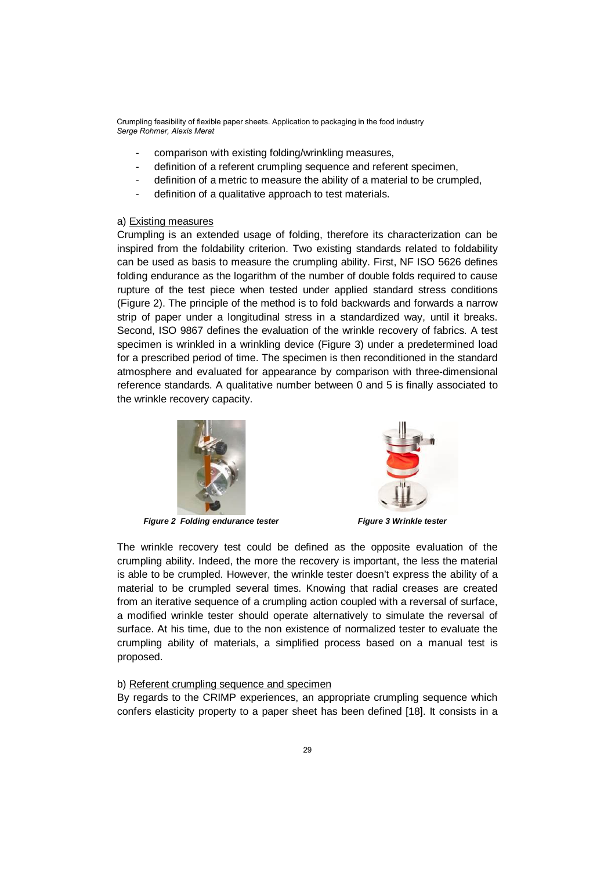- comparison with existing folding/wrinkling measures,
- definition of a referent crumpling sequence and referent specimen,
- definition of a metric to measure the ability of a material to be crumpled,
- definition of a qualitative approach to test materials.

#### a) Existing measures

Crumpling is an extended usage of folding, therefore its characterization can be inspired from the foldability criterion. Two existing standards related to foldability can be used as basis to measure the crumpling ability. First, NF ISO 5626 defines folding endurance as the logarithm of the number of double folds required to cause rupture of the test piece when tested under applied standard stress conditions (Figure 2). The principle of the method is to fold backwards and forwards a narrow strip of paper under a longitudinal stress in a standardized way, until it breaks. Second, ISO 9867 defines the evaluation of the wrinkle recovery of fabrics. A test specimen is wrinkled in a wrinkling device (Figure 3) under a predetermined load for a prescribed period of time. The specimen is then reconditioned in the standard atmosphere and evaluated for appearance by comparison with three-dimensional reference standards. A qualitative number between 0 and 5 is finally associated to the wrinkle recovery capacity.



*Figure 2 Folding endurance tester Figure 3 Wrinkle tester*



The wrinkle recovery test could be defined as the opposite evaluation of the crumpling ability. Indeed, the more the recovery is important, the less the material is able to be crumpled. However, the wrinkle tester doesn't express the ability of a material to be crumpled several times. Knowing that radial creases are created from an iterative sequence of a crumpling action coupled with a reversal of surface, a modified wrinkle tester should operate alternatively to simulate the reversal of surface. At his time, due to the non existence of normalized tester to evaluate the crumpling ability of materials, a simplified process based on a manual test is proposed.

#### b) Referent crumpling sequence and specimen

By regards to the CRIMP experiences, an appropriate crumpling sequence which confers elasticity property to a paper sheet has been defined [18]. It consists in a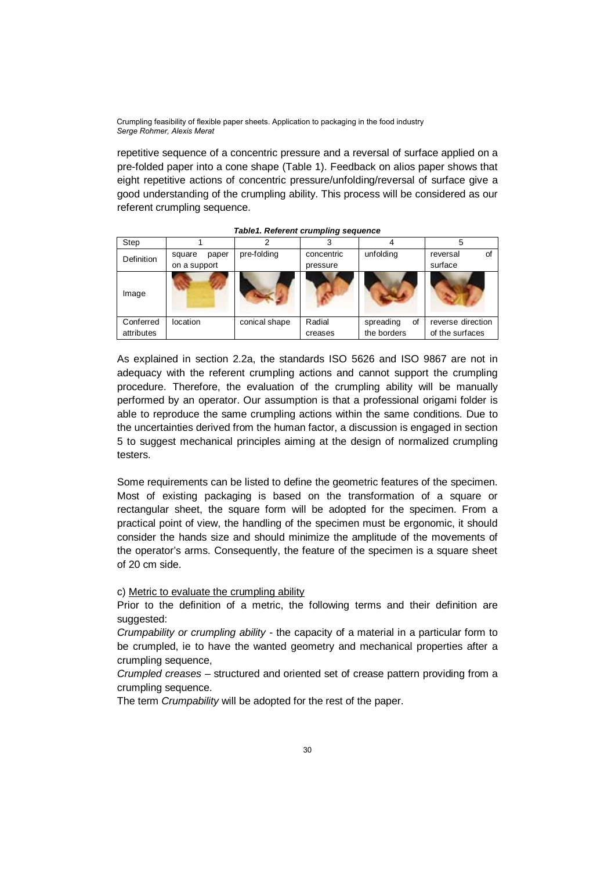repetitive sequence of a concentric pressure and a reversal of surface applied on a pre-folded paper into a cone shape (Table 1). Feedback on alios paper shows that eight repetitive actions of concentric pressure/unfolding/reversal of surface give a good understanding of the crumpling ability. This process will be considered as our referent crumpling sequence.

| Step              |                 |               |            |                 |                   |
|-------------------|-----------------|---------------|------------|-----------------|-------------------|
| <b>Definition</b> | paper<br>square | pre-folding   | concentric | unfolding       | Οf<br>reversal    |
|                   | on a support    |               | pressure   |                 | surface           |
| Image             |                 |               |            |                 |                   |
| Conferred         | location        | conical shape | Radial     | spreading<br>οf | reverse direction |
| attributes        |                 |               | creases    | the borders     | of the surfaces   |

*Table1. Referent crumpling sequence*

As explained in section 2.2a, the standards ISO 5626 and ISO 9867 are not in adequacy with the referent crumpling actions and cannot support the crumpling procedure. Therefore, the evaluation of the crumpling ability will be manually performed by an operator. Our assumption is that a professional origami folder is able to reproduce the same crumpling actions within the same conditions. Due to the uncertainties derived from the human factor, a discussion is engaged in section 5 to suggest mechanical principles aiming at the design of normalized crumpling testers.

Some requirements can be listed to define the geometric features of the specimen. Most of existing packaging is based on the transformation of a square or rectangular sheet, the square form will be adopted for the specimen. From a practical point of view, the handling of the specimen must be ergonomic, it should consider the hands size and should minimize the amplitude of the movements of the operator's arms. Consequently, the feature of the specimen is a square sheet of 20 cm side.

### c) Metric to evaluate the crumpling ability

Prior to the definition of a metric, the following terms and their definition are suggested:

*Crumpability or crumpling ability* - the capacity of a material in a particular form to be crumpled, ie to have the wanted geometry and mechanical properties after a crumpling sequence,

*Crumpled creases* – structured and oriented set of crease pattern providing from a crumpling sequence.

The term *Crumpability* will be adopted for the rest of the paper.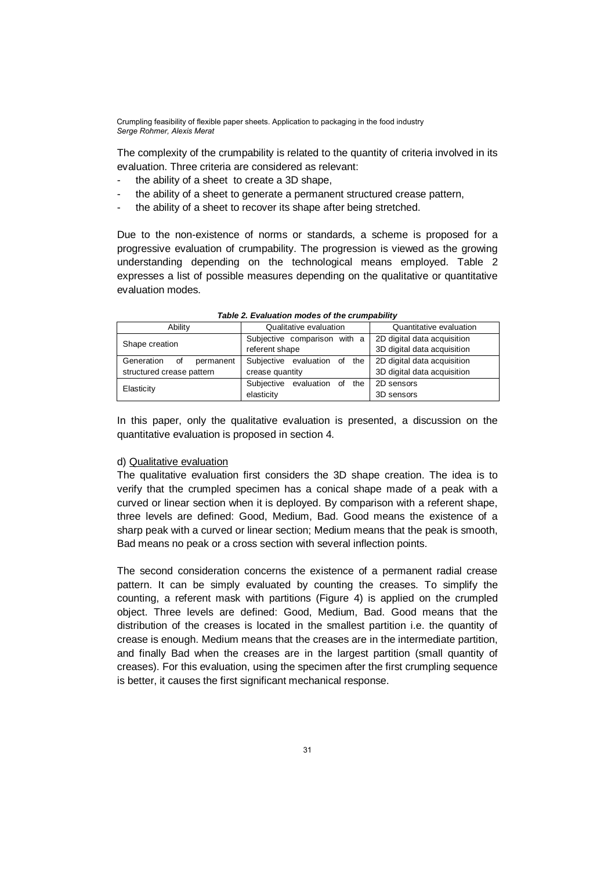The complexity of the crumpability is related to the quantity of criteria involved in its evaluation. Three criteria are considered as relevant:

- the ability of a sheet to create a 3D shape.
- the ability of a sheet to generate a permanent structured crease pattern,
- the ability of a sheet to recover its shape after being stretched.

Due to the non-existence of norms or standards, a scheme is proposed for a progressive evaluation of crumpability. The progression is viewed as the growing understanding depending on the technological means employed. Table 2 expresses a list of possible measures depending on the qualitative or quantitative evaluation modes.

|                | Ability                       | Qualitative evaluation       | Quantitative evaluation     |  |
|----------------|-------------------------------|------------------------------|-----------------------------|--|
| Shape creation |                               | Subjective comparison with a | 2D digital data acquisition |  |
|                |                               | referent shape               | 3D digital data acquisition |  |
|                | Generation<br>of<br>permanent | Subjective evaluation of the | 2D digital data acquisition |  |
|                | structured crease pattern     | crease quantity              | 3D digital data acquisition |  |
| Elasticity     |                               | Subjective evaluation of the | 2D sensors                  |  |
|                |                               | elasticity                   | 3D sensors                  |  |

|  |  | Table 2. Evaluation modes of the crumpability |  |  |  |
|--|--|-----------------------------------------------|--|--|--|
|--|--|-----------------------------------------------|--|--|--|

In this paper, only the qualitative evaluation is presented, a discussion on the quantitative evaluation is proposed in section 4.

#### d) Qualitative evaluation

The qualitative evaluation first considers the 3D shape creation. The idea is to verify that the crumpled specimen has a conical shape made of a peak with a curved or linear section when it is deployed. By comparison with a referent shape, three levels are defined: Good, Medium, Bad. Good means the existence of a sharp peak with a curved or linear section; Medium means that the peak is smooth, Bad means no peak or a cross section with several inflection points.

The second consideration concerns the existence of a permanent radial crease pattern. It can be simply evaluated by counting the creases. To simplify the counting, a referent mask with partitions (Figure 4) is applied on the crumpled object. Three levels are defined: Good, Medium, Bad. Good means that the distribution of the creases is located in the smallest partition i.e. the quantity of crease is enough. Medium means that the creases are in the intermediate partition, and finally Bad when the creases are in the largest partition (small quantity of creases). For this evaluation, using the specimen after the first crumpling sequence is better, it causes the first significant mechanical response.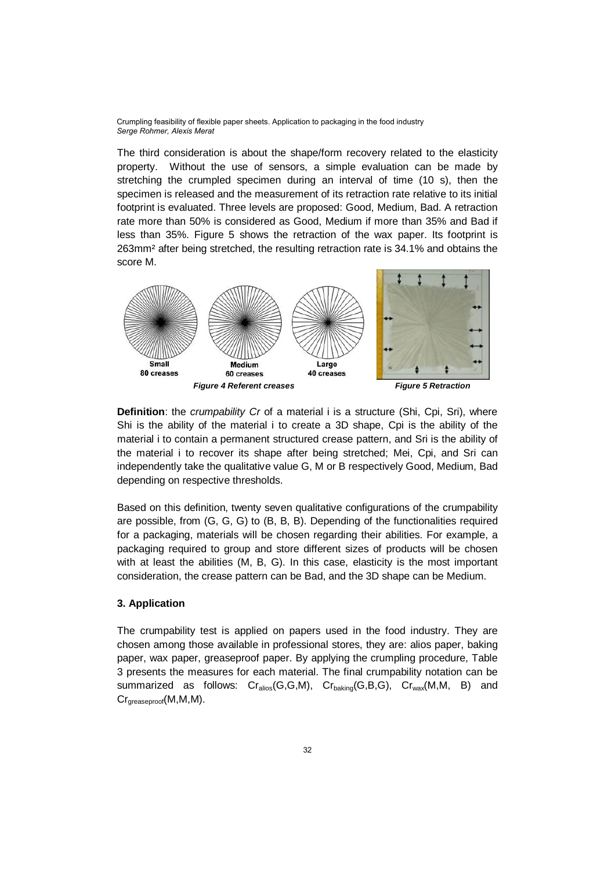The third consideration is about the shape/form recovery related to the elasticity property. Without the use of sensors, a simple evaluation can be made by stretching the crumpled specimen during an interval of time (10 s), then the specimen is released and the measurement of its retraction rate relative to its initial footprint is evaluated. Three levels are proposed: Good, Medium, Bad. A retraction rate more than 50% is considered as Good, Medium if more than 35% and Bad if less than 35%. Figure 5 shows the retraction of the wax paper. Its footprint is 263mm² after being stretched, the resulting retraction rate is 34.1% and obtains the score M.



**Definition**: the *crumpability Cr* of a material i is a structure (Shi, Cpi, Sri), where Shi is the ability of the material i to create a 3D shape, Cpi is the ability of the material i to contain a permanent structured crease pattern, and Sri is the ability of the material i to recover its shape after being stretched; Mei, Cpi, and Sri can independently take the qualitative value G, M or B respectively Good, Medium, Bad depending on respective thresholds.

Based on this definition, twenty seven qualitative configurations of the crumpability are possible, from (G, G, G) to (B, B, B). Depending of the functionalities required for a packaging, materials will be chosen regarding their abilities. For example, a packaging required to group and store different sizes of products will be chosen with at least the abilities (M, B, G). In this case, elasticity is the most important consideration, the crease pattern can be Bad, and the 3D shape can be Medium.

### **3. Application**

The crumpability test is applied on papers used in the food industry. They are chosen among those available in professional stores, they are: alios paper, baking paper, wax paper, greaseproof paper. By applying the crumpling procedure, Table 3 presents the measures for each material. The final crumpability notation can be summarized as follows:  $Cr_{\text{alios}}(G, G, M)$ ,  $Cr_{\text{baking}}(G, B, G)$ ,  $Cr_{\text{wax}}(M, M, B)$  and Cr<sub>areaseproof</sub>(M,M,M).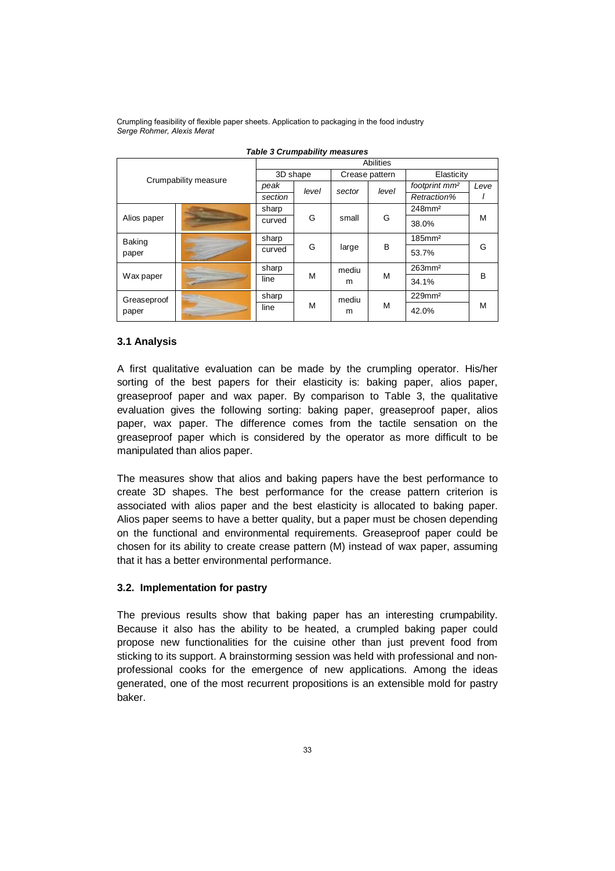|                        | Abilities |          |       |                |       |                           |      |
|------------------------|-----------|----------|-------|----------------|-------|---------------------------|------|
| Crumpability measure   |           | 3D shape |       | Crease pattern |       | Elasticity                |      |
|                        |           | peak     | level | sector         | level | footprint mm <sup>2</sup> | Leve |
|                        |           | section  |       |                |       | Retraction%               |      |
| Alios paper            |           | sharp    | G     | small          | G     | 248mm <sup>2</sup>        |      |
|                        |           | curved   |       |                |       | 38.0%                     | M    |
| <b>Baking</b><br>paper |           | sharp    | G     | large          | B     | $185$ mm <sup>2</sup>     | G    |
|                        |           | curved   |       |                |       | 53.7%                     |      |
| Wax paper              |           | sharp    | M     | mediu<br>m     | M     | $263$ mm <sup>2</sup>     |      |
|                        |           | line     |       |                |       | 34.1%                     | в    |
| Greaseproof<br>paper   |           | sharp    | M     | mediu<br>m     | M     | $229$ mm <sup>2</sup>     |      |
|                        |           | line     |       |                |       | 42.0%                     | M    |

*Table 3 Crumpability measures*

### **3.1 Analysis**

A first qualitative evaluation can be made by the crumpling operator. His/her sorting of the best papers for their elasticity is: baking paper, alios paper, greaseproof paper and wax paper. By comparison to Table 3, the qualitative evaluation gives the following sorting: baking paper, greaseproof paper, alios paper, wax paper. The difference comes from the tactile sensation on the greaseproof paper which is considered by the operator as more difficult to be manipulated than alios paper.

The measures show that alios and baking papers have the best performance to create 3D shapes. The best performance for the crease pattern criterion is associated with alios paper and the best elasticity is allocated to baking paper. Alios paper seems to have a better quality, but a paper must be chosen depending on the functional and environmental requirements. Greaseproof paper could be chosen for its ability to create crease pattern (M) instead of wax paper, assuming that it has a better environmental performance.

### **3.2. Implementation for pastry**

The previous results show that baking paper has an interesting crumpability. Because it also has the ability to be heated, a crumpled baking paper could propose new functionalities for the cuisine other than just prevent food from sticking to its support. A brainstorming session was held with professional and nonprofessional cooks for the emergence of new applications. Among the ideas generated, one of the most recurrent propositions is an extensible mold for pastry baker.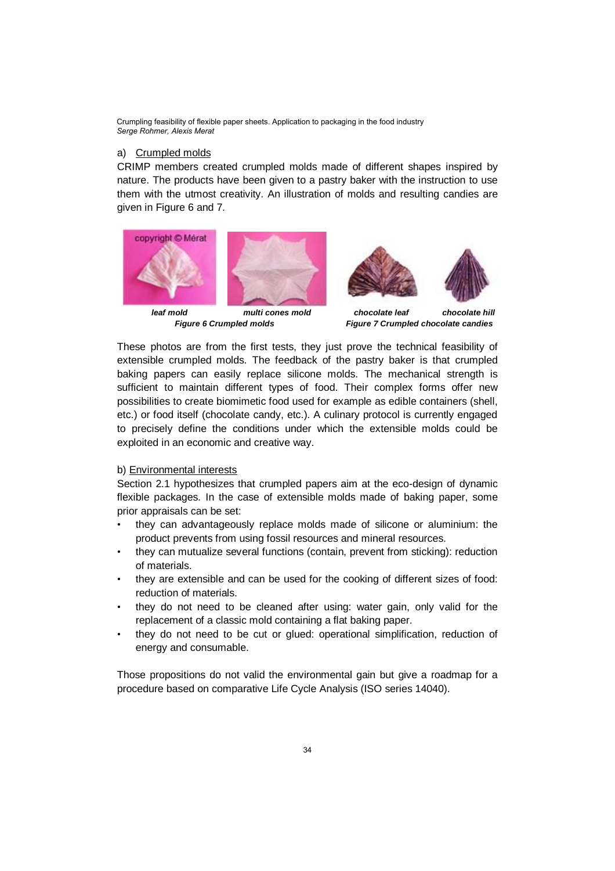## a) Crumpled molds

CRIMP members created crumpled molds made of different shapes inspired by nature. The products have been given to a pastry baker with the instruction to use them with the utmost creativity. An illustration of molds and resulting candies are given in Figure 6 and 7.



*leaf mold multi cones mold chocolate leaf chocolate hill*



*Figure 6 Crumpled molds Figure 7 Crumpled chocolate candies*

These photos are from the first tests, they just prove the technical feasibility of extensible crumpled molds. The feedback of the pastry baker is that crumpled baking papers can easily replace silicone molds. The mechanical strength is sufficient to maintain different types of food. Their complex forms offer new possibilities to create biomimetic food used for example as edible containers (shell, etc.) or food itself (chocolate candy, etc.). A culinary protocol is currently engaged to precisely define the conditions under which the extensible molds could be exploited in an economic and creative way.

### b) Environmental interests

Section 2.1 hypothesizes that crumpled papers aim at the eco-design of dynamic flexible packages. In the case of extensible molds made of baking paper, some prior appraisals can be set:

- they can advantageously replace molds made of silicone or aluminium: the product prevents from using fossil resources and mineral resources.
- they can mutualize several functions (contain, prevent from sticking): reduction of materials.
- they are extensible and can be used for the cooking of different sizes of food: reduction of materials.
- they do not need to be cleaned after using: water gain, only valid for the replacement of a classic mold containing a flat baking paper.
- they do not need to be cut or glued: operational simplification, reduction of energy and consumable.

Those propositions do not valid the environmental gain but give a roadmap for a procedure based on comparative Life Cycle Analysis (ISO series 14040).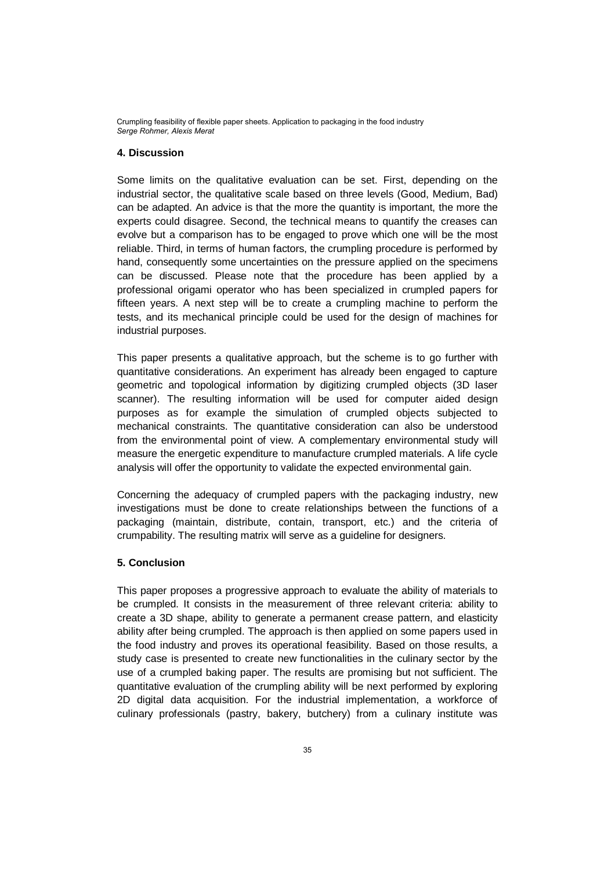# **4. Discussion**

Some limits on the qualitative evaluation can be set. First, depending on the industrial sector, the qualitative scale based on three levels (Good, Medium, Bad) can be adapted. An advice is that the more the quantity is important, the more the experts could disagree. Second, the technical means to quantify the creases can evolve but a comparison has to be engaged to prove which one will be the most reliable. Third, in terms of human factors, the crumpling procedure is performed by hand, consequently some uncertainties on the pressure applied on the specimens can be discussed. Please note that the procedure has been applied by a professional origami operator who has been specialized in crumpled papers for fifteen years. A next step will be to create a crumpling machine to perform the tests, and its mechanical principle could be used for the design of machines for industrial purposes.

This paper presents a qualitative approach, but the scheme is to go further with quantitative considerations. An experiment has already been engaged to capture geometric and topological information by digitizing crumpled objects (3D laser scanner). The resulting information will be used for computer aided design purposes as for example the simulation of crumpled objects subjected to mechanical constraints. The quantitative consideration can also be understood from the environmental point of view. A complementary environmental study will measure the energetic expenditure to manufacture crumpled materials. A life cycle analysis will offer the opportunity to validate the expected environmental gain.

Concerning the adequacy of crumpled papers with the packaging industry, new investigations must be done to create relationships between the functions of a packaging (maintain, distribute, contain, transport, etc.) and the criteria of crumpability. The resulting matrix will serve as a guideline for designers.

### **5. Conclusion**

This paper proposes a progressive approach to evaluate the ability of materials to be crumpled. It consists in the measurement of three relevant criteria: ability to create a 3D shape, ability to generate a permanent crease pattern, and elasticity ability after being crumpled. The approach is then applied on some papers used in the food industry and proves its operational feasibility. Based on those results, a study case is presented to create new functionalities in the culinary sector by the use of a crumpled baking paper. The results are promising but not sufficient. The quantitative evaluation of the crumpling ability will be next performed by exploring 2D digital data acquisition. For the industrial implementation, a workforce of culinary professionals (pastry, bakery, butchery) from a culinary institute was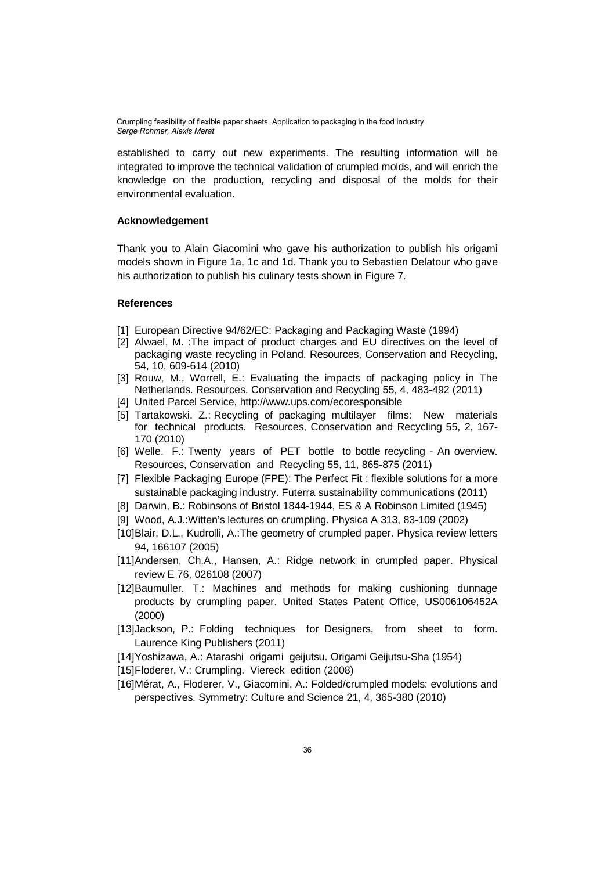established to carry out new experiments. The resulting information will be integrated to improve the technical validation of crumpled molds, and will enrich the knowledge on the production, recycling and disposal of the molds for their environmental evaluation.

# **Acknowledgement**

Thank you to Alain Giacomini who gave his authorization to publish his origami models shown in Figure 1a, 1c and 1d. Thank you to Sebastien Delatour who gave his authorization to publish his culinary tests shown in Figure 7.

#### **References**

- [1] European Directive 94/62/EC: Packaging and Packaging Waste (1994)
- [2] Alwael, M. :The impact of product charges and EU directives on the level of packaging waste recycling in Poland. Resources, Conservation and Recycling, 54, 10, 609-614 (2010)
- [3] Rouw, M., Worrell, E.: Evaluating the impacts of packaging policy in The Netherlands. Resources, Conservation and Recycling 55, 4, 483-492 (2011)
- [4] United Parcel Service, http://www.ups.com/ecoresponsible
- [5] Tartakowski. Z.: Recycling of packaging multilayer films: New materials for technical products. Resources, Conservation and Recycling 55, 2, 167- 170 (2010)
- [6] Welle. F.: Twenty years of PET bottle to bottle recycling An overview. Resources, Conservation and Recycling 55, 11, 865-875 (2011)
- [7] Flexible Packaging Europe (FPE): The Perfect Fit : flexible solutions for a more sustainable packaging industry. Futerra sustainability communications (2011)
- [8] Darwin, B.: Robinsons of Bristol 1844-1944, ES & A Robinson Limited (1945)
- [9] Wood, A.J.:Witten's lectures on crumpling. Physica A 313, 83-109 (2002)
- [10]Blair, D.L., Kudrolli, A.:The geometry of crumpled paper. Physica review letters 94, 166107 (2005)
- [11]Andersen, Ch.A., Hansen, A.: Ridge network in crumpled paper. Physical review E 76, 026108 (2007)
- [12]Baumuller. T.: Machines and methods for making cushioning dunnage products by crumpling paper. United States Patent Office, US006106452A (2000)
- [13]Jackson, P.: Folding techniques for Designers, from sheet to form. Laurence King Publishers (2011)
- [14]Yoshizawa, A.: Atarashi origami geijutsu. Origami Geijutsu-Sha (1954)
- [15] Floderer, V.: Crumpling. Viereck edition (2008)
- [16]Mérat, A., Floderer, V., Giacomini, A.: Folded/crumpled models: evolutions and perspectives. Symmetry: Culture and Science 21, 4, 365-380 (2010)